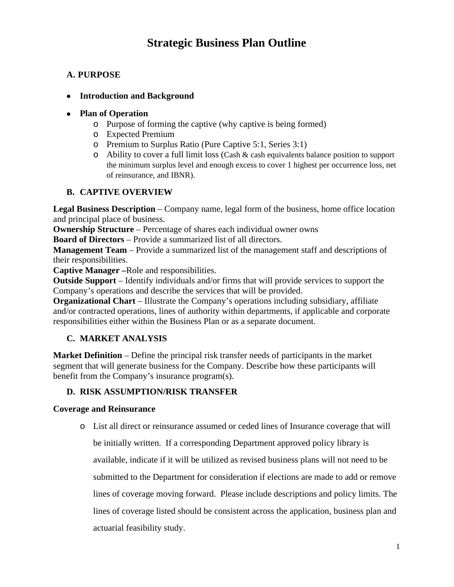# **Strategic Business Plan Outline**

# **A. PURPOSE**

### • **Introduction and Background**

### • **Plan of Operation**

- o Purpose of forming the captive (why captive is being formed)
- o Expected Premium
- o Premium to Surplus Ratio (Pure Captive 5:1, Series 3:1)
- o Ability to cover a full limit loss (Cash & cash equivalents balance position to support the minimum surplus level and enough excess to cover 1 highest per occurrence loss, net of reinsurance, and IBNR).

# **B. CAPTIVE OVERVIEW**

**Legal Business Description** – Company name, legal form of the business, home office location and principal place of business.

**Ownership Structure** – Percentage of shares each individual owner owns **Board of Directors** – Provide a summarized list of all directors.

**Management Team** – Provide a summarized list of the management staff and descriptions of their responsibilities.

**Captive Manager** *–*Role and responsibilities.

**Outside Support** – Identify individuals and/or firms that will provide services to support the Company's operations and describe the services that will be provided.

**Organizational Chart** – Illustrate the Company's operations including subsidiary, affiliate and/or contracted operations, lines of authority within departments, if applicable and corporate responsibilities either within the Business Plan or as a separate document.

# **C. MARKET ANALYSIS**

**Market Definition** – Define the principal risk transfer needs of participants in the market segment that will generate business for the Company. Describe how these participants will benefit from the Company's insurance program(s).

# **D. RISK ASSUMPTION/RISK TRANSFER**

actuarial feasibility study.

# **Coverage and Reinsurance**

o List all direct or reinsurance assumed or ceded lines of Insurance coverage that will be initially written. If a corresponding Department approved policy library is

available, indicate if it will be utilized as revised business plans will not need to be submitted to the Department for consideration if elections are made to add or remove lines of coverage moving forward. Please include descriptions and policy limits. The lines of coverage listed should be consistent across the application, business plan and